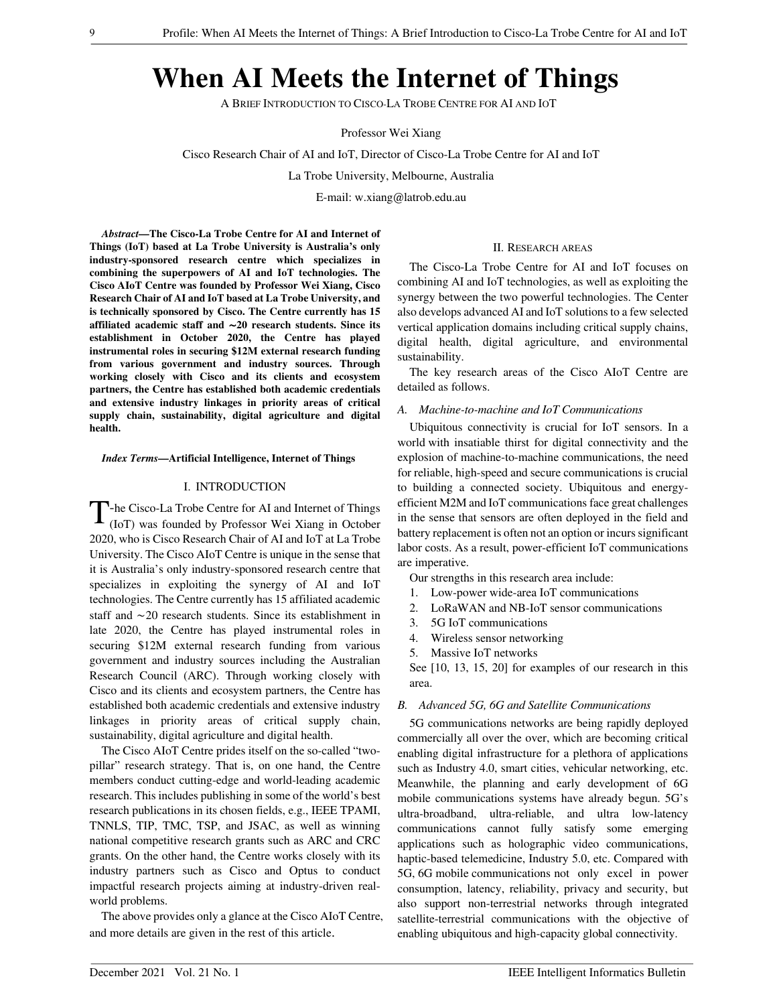# When AI Meets the Internet of Things

A BRIEF INTRODUCTION TO CISCO-LA TROBE CENTRE FOR AI AND IOT

Professor Wei Xiang

Cisco Research Chair of AI and IoT, Director of Cisco-La Trobe Centre for AI and IoT

La Trobe University, Melbourne, Australia

E-mail: w.xiang@latrob.edu.au

*Abstract*—The Cisco-La Trobe Centre for AI and Internet of Things (IoT) based at La Trobe University is Australia's only industry-sponsored research centre which specializes in combining the superpowers of AI and IoT technologies. The Cisco AIoT Centre was founded by Professor Wei Xiang, Cisco Research Chair of AI and IoT based at La Trobe University, and is technically sponsored by Cisco. The Centre currently has 15 affiliated academic staff and ∼20 research students. Since its establishment in October 2020, the Centre has played instrumental roles in securing \$12M external research funding from various government and industry sources. Through working closely with Cisco and its clients and ecosystem partners, the Centre has established both academic credentials and extensive industry linkages in priority areas of critical supply chain, sustainability, digital agriculture and digital health.

*Index Terms*—Artificial Intelligence, Internet of Things

## I. INTRODUCTION

T-he Cisco-La Trobe Centre for AI and Internet of Things<br>(IoT) was founded by Professor Wei Xiang in October (IoT) was founded by Professor Wei Xiang in October 2020, who is Cisco Research Chair of AI and IoT at La Trobe University. The Cisco AIoT Centre is unique in the sense that it is Australia's only industry-sponsored research centre that specializes in exploiting the synergy of AI and IoT technologies. The Centre currently has 15 affiliated academic staff and ∼20 research students. Since its establishment in late 2020, the Centre has played instrumental roles in securing \$12M external research funding from various government and industry sources including the Australian Research Council (ARC). Through working closely with Cisco and its clients and ecosystem partners, the Centre has established both academic credentials and extensive industry linkages in priority areas of critical supply chain, sustainability, digital agriculture and digital health.

The Cisco AIoT Centre prides itself on the so-called "twopillar" research strategy. That is, on one hand, the Centre members conduct cutting-edge and world-leading academic research. This includes publishing in some of the world's best research publications in its chosen fields, e.g., IEEE TPAMI, TNNLS, TIP, TMC, TSP, and JSAC, as well as winning national competitive research grants such as ARC and CRC grants. On the other hand, the Centre works closely with its industry partners such as Cisco and Optus to conduct impactful research projects aiming at industry-driven realworld problems.

The above provides only a glance at the Cisco AIoT Centre, and more details are given in the rest of this article.

#### II. RESEARCH AREAS

The Cisco-La Trobe Centre for AI and IoT focuses on combining AI and IoT technologies, as well as exploiting the synergy between the two powerful technologies. The Center also develops advanced AI and IoT solutions to a few selected vertical application domains including critical supply chains, digital health, digital agriculture, and environmental sustainability.

The key research areas of the Cisco AIoT Centre are detailed as follows.

## *A. Machine-to-machine and IoT Communications*

Ubiquitous connectivity is crucial for IoT sensors. In a world with insatiable thirst for digital connectivity and the explosion of machine-to-machine communications, the need for reliable, high-speed and secure communications is crucial to building a connected society. Ubiquitous and energyefficient M2M and IoT communications face great challenges in the sense that sensors are often deployed in the field and battery replacement is often not an option or incurs significant labor costs. As a result, power-efficient IoT communications are imperative.

Our strengths in this research area include:

- 1. Low-power wide-area IoT communications
- 2. LoRaWAN and NB-IoT sensor communications
- 3. 5G IoT communications
- 4. Wireless sensor networking
- 5. Massive IoT networks

See [10, 13, 15, 20] for examples of our research in this area.

## *B. Advanced 5G, 6G and Satellite Communications*

5G communications networks are being rapidly deployed commercially all over the over, which are becoming critical enabling digital infrastructure for a plethora of applications such as Industry 4.0, smart cities, vehicular networking, etc. Meanwhile, the planning and early development of 6G mobile communications systems have already begun. 5G's ultra-broadband, ultra-reliable, and ultra low-latency communications cannot fully satisfy some emerging applications such as holographic video communications, haptic-based telemedicine, Industry 5.0, etc. Compared with 5G, 6G mobile communications not only excel in power consumption, latency, reliability, privacy and security, but also support non-terrestrial networks through integrated satellite-terrestrial communications with the objective of enabling ubiquitous and high-capacity global connectivity.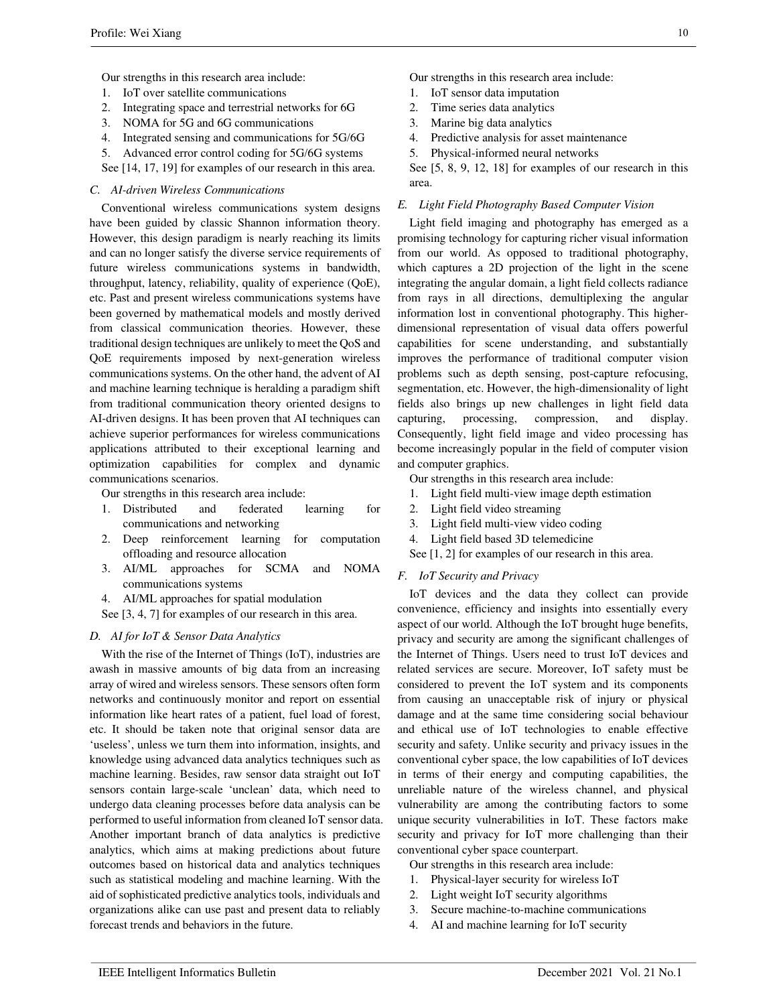Our strengths in this research area include:

- 1. IoT over satellite communications
- 2. Integrating space and terrestrial networks for 6G
- 3. NOMA for 5G and 6G communications
- 4. Integrated sensing and communications for 5G/6G
- 5. Advanced error control coding for 5G/6G systems
- See [14, 17, 19] for examples of our research in this area.

## *C. AI-driven Wireless Communications*

Conventional wireless communications system designs have been guided by classic Shannon information theory. However, this design paradigm is nearly reaching its limits and can no longer satisfy the diverse service requirements of future wireless communications systems in bandwidth, throughput, latency, reliability, quality of experience (QoE), etc. Past and present wireless communications systems have been governed by mathematical models and mostly derived from classical communication theories. However, these traditional design techniques are unlikely to meet the QoS and QoE requirements imposed by next-generation wireless communications systems. On the other hand, the advent of AI and machine learning technique is heralding a paradigm shift from traditional communication theory oriented designs to AI-driven designs. It has been proven that AI techniques can achieve superior performances for wireless communications applications attributed to their exceptional learning and optimization capabilities for complex and dynamic communications scenarios.

Our strengths in this research area include:

- 1. Distributed and federated learning for communications and networking
- 2. Deep reinforcement learning for computation offloading and resource allocation
- 3. AI/ML approaches for SCMA and NOMA communications systems
- 4. AI/ML approaches for spatial modulation
- See [3, 4, 7] for examples of our research in this area.

# *D. AI for IoT & Sensor Data Analytics*

With the rise of the Internet of Things (IoT), industries are awash in massive amounts of big data from an increasing array of wired and wireless sensors. These sensors often form networks and continuously monitor and report on essential information like heart rates of a patient, fuel load of forest, etc. It should be taken note that original sensor data are 'useless', unless we turn them into information, insights, and knowledge using advanced data analytics techniques such as machine learning. Besides, raw sensor data straight out IoT sensors contain large-scale 'unclean' data, which need to undergo data cleaning processes before data analysis can be performed to useful information from cleaned IoT sensor data. Another important branch of data analytics is predictive analytics, which aims at making predictions about future outcomes based on historical data and analytics techniques such as statistical modeling and machine learning. With the aid of sophisticated predictive analytics tools, individuals and organizations alike can use past and present data to reliably forecast trends and behaviors in the future.

Our strengths in this research area include:

- 1. IoT sensor data imputation
- 2. Time series data analytics
- 3. Marine big data analytics
- 4. Predictive analysis for asset maintenance
- 5. Physical-informed neural networks

See [5, 8, 9, 12, 18] for examples of our research in this area.

#### *E. Light Field Photography Based Computer Vision*

Light field imaging and photography has emerged as a promising technology for capturing richer visual information from our world. As opposed to traditional photography, which captures a 2D projection of the light in the scene integrating the angular domain, a light field collects radiance from rays in all directions, demultiplexing the angular information lost in conventional photography. This higherdimensional representation of visual data offers powerful capabilities for scene understanding, and substantially improves the performance of traditional computer vision problems such as depth sensing, post-capture refocusing, segmentation, etc. However, the high-dimensionality of light fields also brings up new challenges in light field data capturing, processing, compression, and display. Consequently, light field image and video processing has become increasingly popular in the field of computer vision and computer graphics.

- Our strengths in this research area include:
- 1. Light field multi-view image depth estimation
- 2. Light field video streaming
- 3. Light field multi-view video coding
- 4. Light field based 3D telemedicine
- See [1, 2] for examples of our research in this area.

#### *F. IoT Security and Privacy*

IoT devices and the data they collect can provide convenience, efficiency and insights into essentially every aspect of our world. Although the IoT brought huge benefits, privacy and security are among the significant challenges of the Internet of Things. Users need to trust IoT devices and related services are secure. Moreover, IoT safety must be considered to prevent the IoT system and its components from causing an unacceptable risk of injury or physical damage and at the same time considering social behaviour and ethical use of IoT technologies to enable effective security and safety. Unlike security and privacy issues in the conventional cyber space, the low capabilities of IoT devices in terms of their energy and computing capabilities, the unreliable nature of the wireless channel, and physical vulnerability are among the contributing factors to some unique security vulnerabilities in IoT. These factors make security and privacy for IoT more challenging than their conventional cyber space counterpart.

Our strengths in this research area include:

- 1. Physical-layer security for wireless IoT
- 2. Light weight IoT security algorithms
- 3. Secure machine-to-machine communications
- 4. AI and machine learning for IoT security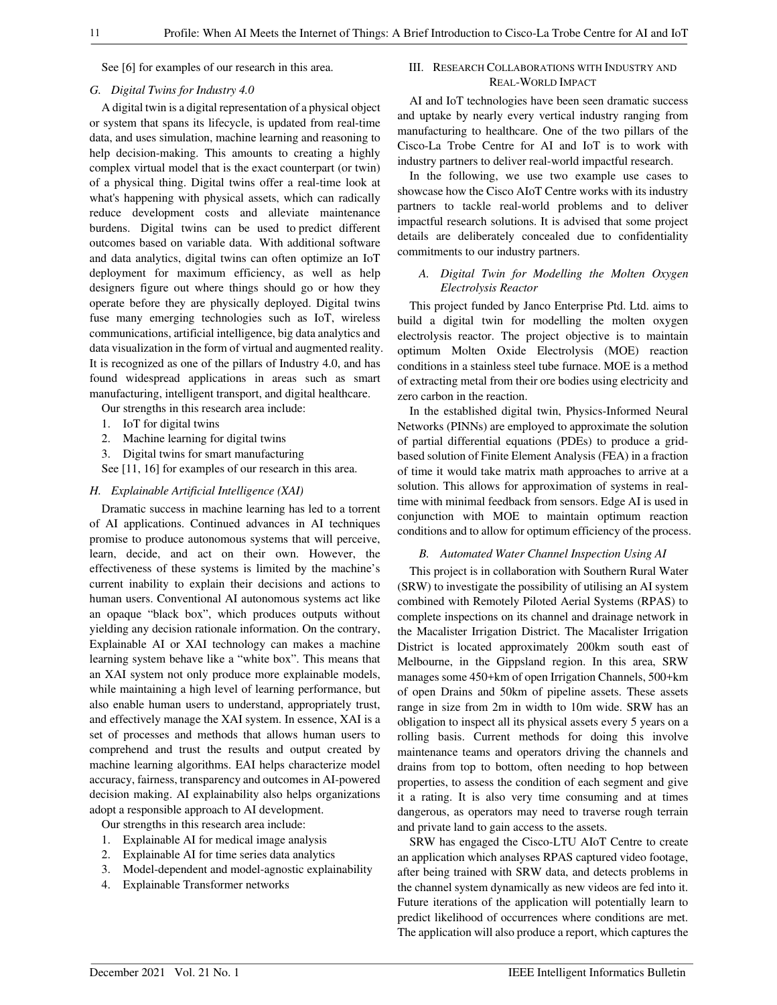See [6] for examples of our research in this area.

## *G. Digital Twins for Industry 4.0*

A digital twin is a digital representation of a physical object or system that spans its lifecycle, is updated from real-time data, and uses simulation, machine learning and reasoning to help decision-making. This amounts to creating a highly complex virtual model that is the exact counterpart (or twin) of a physical thing. Digital twins offer a real-time look at what's happening with physical assets, which can radically reduce development costs and alleviate maintenance burdens. Digital twins can be used to predict different outcomes based on variable data. With additional software and data analytics, digital twins can often optimize an IoT deployment for maximum efficiency, as well as help designers figure out where things should go or how they operate before they are physically deployed. Digital twins fuse many emerging technologies such as IoT, wireless communications, artificial intelligence, big data analytics and data visualization in the form of virtual and augmented reality. It is recognized as one of the pillars of Industry 4.0, and has found widespread applications in areas such as smart manufacturing, intelligent transport, and digital healthcare.

Our strengths in this research area include:

- 1. IoT for digital twins
- 2. Machine learning for digital twins
- 3. Digital twins for smart manufacturing

See [11, 16] for examples of our research in this area.

## *H. Explainable Artificial Intelligence (XAI)*

Dramatic success in machine learning has led to a torrent of AI applications. Continued advances in AI techniques promise to produce autonomous systems that will perceive, learn, decide, and act on their own. However, the effectiveness of these systems is limited by the machine's current inability to explain their decisions and actions to human users. Conventional AI autonomous systems act like an opaque "black box", which produces outputs without yielding any decision rationale information. On the contrary, Explainable AI or XAI technology can makes a machine learning system behave like a "white box". This means that an XAI system not only produce more explainable models, while maintaining a high level of learning performance, but also enable human users to understand, appropriately trust, and effectively manage the XAI system. In essence, XAI is a set of processes and methods that allows human users to comprehend and trust the results and output created by machine learning algorithms. EAI helps characterize model accuracy, fairness, transparency and outcomes in AI-powered decision making. AI explainability also helps organizations adopt a responsible approach to AI development.

Our strengths in this research area include:

- 1. Explainable AI for medical image analysis
- 2. Explainable AI for time series data analytics
- 3. Model-dependent and model-agnostic explainability
- 4. Explainable Transformer networks

# III. RESEARCH COLLABORATIONS WITH INDUSTRY AND REAL-WORLD IMPACT

AI and IoT technologies have been seen dramatic success and uptake by nearly every vertical industry ranging from manufacturing to healthcare. One of the two pillars of the Cisco-La Trobe Centre for AI and IoT is to work with industry partners to deliver real-world impactful research.

In the following, we use two example use cases to showcase how the Cisco AIoT Centre works with its industry partners to tackle real-world problems and to deliver impactful research solutions. It is advised that some project details are deliberately concealed due to confidentiality commitments to our industry partners.

# *A. Digital Twin for Modelling the Molten Oxygen Electrolysis Reactor*

This project funded by Janco Enterprise Ptd. Ltd. aims to build a digital twin for modelling the molten oxygen electrolysis reactor. The project objective is to maintain optimum Molten Oxide Electrolysis (MOE) reaction conditions in a stainless steel tube furnace. MOE is a method of extracting metal from their ore bodies using electricity and zero carbon in the reaction.

In the established digital twin, Physics-Informed Neural Networks (PINNs) are employed to approximate the solution of partial differential equations (PDEs) to produce a gridbased solution of Finite Element Analysis (FEA) in a fraction of time it would take matrix math approaches to arrive at a solution. This allows for approximation of systems in realtime with minimal feedback from sensors. Edge AI is used in conjunction with MOE to maintain optimum reaction conditions and to allow for optimum efficiency of the process.

## *B. Automated Water Channel Inspection Using AI*

This project is in collaboration with Southern Rural Water (SRW) to investigate the possibility of utilising an AI system combined with Remotely Piloted Aerial Systems (RPAS) to complete inspections on its channel and drainage network in the Macalister Irrigation District. The Macalister Irrigation District is located approximately 200km south east of Melbourne, in the Gippsland region. In this area, SRW manages some 450+km of open Irrigation Channels, 500+km of open Drains and 50km of pipeline assets. These assets range in size from 2m in width to 10m wide. SRW has an obligation to inspect all its physical assets every 5 years on a rolling basis. Current methods for doing this involve maintenance teams and operators driving the channels and drains from top to bottom, often needing to hop between properties, to assess the condition of each segment and give it a rating. It is also very time consuming and at times dangerous, as operators may need to traverse rough terrain and private land to gain access to the assets.

SRW has engaged the Cisco-LTU AIoT Centre to create an application which analyses RPAS captured video footage, after being trained with SRW data, and detects problems in the channel system dynamically as new videos are fed into it. Future iterations of the application will potentially learn to predict likelihood of occurrences where conditions are met. The application will also produce a report, which captures the